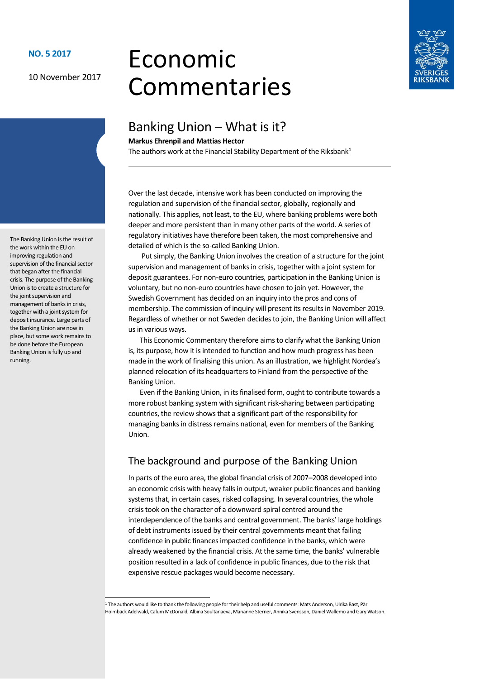10 November 2017

# Economic Commentaries



# Banking Union – What is it?

**Markus Ehrenpil and Mattias Hector**

The authors work at the Financial Stability Department of the Riksbank**<sup>1</sup>**

Over the last decade, intensive work has been conducted on improving the regulation and supervision of the financial sector, globally, regionally and nationally. This applies, not least, to the EU, where banking problems were both deeper and more persistent than in many other parts of the world. A series of regulatory initiatives have therefore been taken, the most comprehensive and detailed of which is the so-called Banking Union.

 Put simply, the Banking Union involves the creation of a structure for the joint supervision and management of banks in crisis, together with a joint system for deposit guarantees. For non-euro countries, participation in the Banking Union is voluntary, but no non-euro countries have chosen to join yet. However, the Swedish Government has decided on an inquiry into the pros and cons of membership. The commission of inquiry will present its results in November 2019. Regardless of whether or not Sweden decides to join, the Banking Union will affect us in various ways.

This Economic Commentary therefore aims to clarify what the Banking Union is, its purpose, how it is intended to function and how much progress has been made in the work of finalising this union. As an illustration, we highlight Nordea's planned relocation of its headquarters to Finland from the perspective of the Banking Union.

Even if the Banking Union, in its finalised form, ought to contribute towards a more robust banking system with significant risk-sharing between participating countries, the review shows that a significant part of the responsibility for managing banks in distress remains national, even for members of the Banking Union.

# The background and purpose of the Banking Union

In parts of the euro area, the global financial crisis of 2007–2008 developed into an economic crisis with heavy falls in output, weaker public finances and banking systems that, in certain cases, risked collapsing. In several countries, the whole crisis took on the character of a downward spiral centred around the interdependence of the banks and central government. The banks' large holdings of debt instruments issued by their central governments meant that failing confidence in public finances impacted confidence in the banks, which were already weakened by the financial crisis. At the same time, the banks' vulnerable position resulted in a lack of confidence in public finances, due to the risk that expensive rescue packages would become necessary.

The Banking Union is the result of the work within the EU on improving regulation and supervision of the financial sector that began after the financial crisis. The purpose of the Banking Union is to create a structure for the joint supervision and management of banks in crisis, together with a joint system for deposit insurance. Large parts of the Banking Union are now in place, but some work remains to be done before the European Banking Union is fully up and running.

<sup>&</sup>lt;sup>1</sup> The authors would like to thank the following people for their help and useful comments: Mats Anderson, Ulrika Bast, Pär Holmbäck Adelwald, Calum McDonald, Albina Soultanaeva, Marianne Sterner, Annika Svensson, Daniel Wallemo and Gary Watson.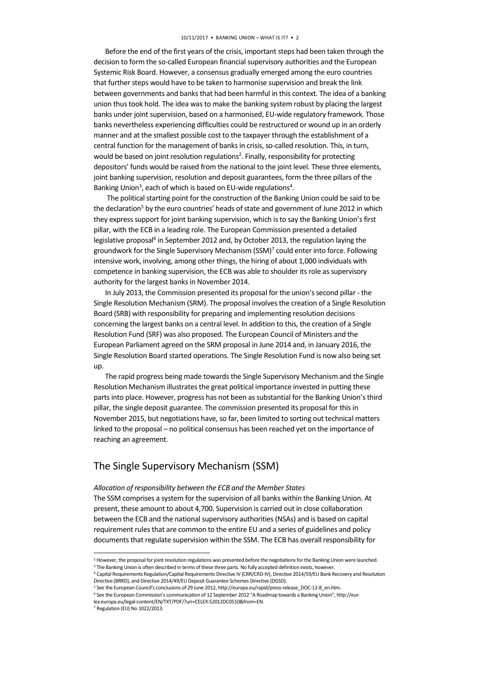Before the end of the first years of the crisis, important steps had been taken through the decision to form the so-called European financial supervisory authorities and the European Systemic Risk Board. However, a consensus gradually emerged among the euro countries that further steps would have to be taken to harmonise supervision and break the link between governments and banks that had been harmful in this context. The idea of a banking union thus took hold. The idea was to make the banking system robust by placing the largest banks under joint supervision, based on a harmonised, EU-wide regulatory framework. Those banks nevertheless experiencing difficulties could be restructured or wound up in an orderly manner and at the smallest possible cost to the taxpayer through the establishment of a central function for the management of banks in crisis, so-called resolution. This, in turn, would be based on joint resolution regulations<sup>2</sup>. Finally, responsibility for protecting depositors' funds would be raised from the national to the joint level. These three elements, joint banking supervision, resolution and deposit guarantees, form the three pillars of the Banking Union<sup>3</sup>, each of which is based on EU-wide regulations<sup>4</sup>.

 The political starting point for the construction of the Banking Union could be said to be the declaration<sup>5</sup> by the euro countries' heads of state and government of June 2012 in which they express support for joint banking supervision, which is to say the Banking Union's first pillar, with the ECB in a leading role. The European Commission presented a detailed legislative proposal<sup>6</sup> in September 2012 and, by October 2013, the regulation laying the groundwork for the Single Supervisory Mechanism (SSM)<sup>7</sup> could enter into force. Following intensive work, involving, among other things, the hiring of about 1,000 individuals with competence in banking supervision, the ECB was able to shoulder its role as supervisory authority for the largest banks in November 2014.

In July 2013, the Commission presented its proposal for the union's second pillar - the Single Resolution Mechanism (SRM). The proposal involves the creation of a Single Resolution Board (SRB) with responsibility for preparing and implementing resolution decisions concerning the largest banks on a central level. In addition to this, the creation of a Single Resolution Fund (SRF) was also proposed. The European Council of Ministers and the European Parliament agreed on the SRM proposal in June 2014 and, in January 2016, the Single Resolution Board started operations. The Single Resolution Fund is now also being set up.

The rapid progress being made towards the Single Supervisory Mechanism and the Single Resolution Mechanism illustrates the great political importance invested in putting these parts into place. However, progress has not been as substantial for the Banking Union's third pillar, the single deposit guarantee. The commission presented its proposal for this in November 2015, but negotiations have, so far, been limited to sorting out technical matters linked to the proposal – no political consensus has been reached yet on the importance of reaching an agreement.

# The Single Supervisory Mechanism (SSM)

*Allocation of responsibility between the ECB and the Member States* The SSM comprises a system for the supervision of all banks within the Banking Union. At present, these amount to about 4,700. Supervision is carried out in close collaboration between the ECB and the national supervisory authorities (NSAs) and is based on capital requirement rules that are common to the entire EU and a series of guidelines and policy documents that regulate supervision within the SSM. The ECB has overall responsibility for

**-**

<sup>2</sup> However, the proposal for joint resolution regulations was presented before the negotiations for the Banking Union were launched. <sup>3</sup> The Banking Union is often described in terms of these three parts. No fully accepted definition exists, however.

<sup>4</sup> Capital Requirements Regulation/Capital Requirements Directive IV (CRR/CRD-IV), Directive 2014/59/EU Bank Recovery and Resolution Directive (BRRD), and Directive 2014/49/EU Deposit Guarantee Schemes Directive (DGSD).

<sup>5</sup> See the European Council's conclusions of 29 June 2012, http://europa.eu/rapid/press-release\_DOC-12-8\_en.htm.

<sup>6</sup> See the European Commission's communication of 12 September 2012 "A Roadmap towards a Banking Union", http://eurlex.europa.eu/legal-content/EN/TXT/PDF/?uri=CELEX:52012DC0510&from=EN.

<sup>7</sup> Regulation (EU) No 1022/2013.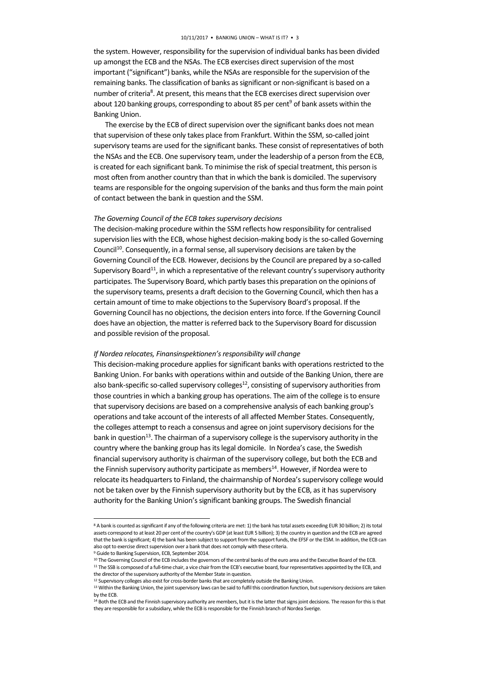the system. However, responsibility for the supervision of individual banks has been divided up amongst the ECB and the NSAs. The ECB exercises direct supervision of the most important ("significant") banks, while the NSAs are responsible for the supervision of the remaining banks. The classification of banks as significant or non-significant is based on a number of criteria<sup>8</sup>. At present, this means that the ECB exercises direct supervision over about 120 banking groups, corresponding to about 85 per cent<sup>9</sup> of bank assets within the Banking Union.

The exercise by the ECB of direct supervision over the significant banks does not mean that supervision of these only takes place from Frankfurt. Within the SSM, so-called joint supervisory teams are used for the significant banks. These consist of representatives of both the NSAs and the ECB. One supervisory team, under the leadership of a person from the ECB, is created for each significant bank. To minimise the risk of special treatment, this person is most often from another country than that in which the bank is domiciled. The supervisory teams are responsible for the ongoing supervision of the banks and thus form the main point of contact between the bank in question and the SSM.

#### *The Governing Council of the ECB takes supervisory decisions*

The decision-making procedure within the SSM reflects how responsibility for centralised supervision lies with the ECB, whose highest decision-making body is the so-called Governing Council<sup>10</sup>. Consequently, in a formal sense, all supervisory decisions are taken by the Governing Council of the ECB. However, decisions by the Council are prepared by a so-called Supervisory Board<sup>11</sup>, in which a representative of the relevant country's supervisory authority participates. The Supervisory Board, which partly bases this preparation on the opinions of the supervisory teams, presents a draft decision to the Governing Council, which then has a certain amount of time to make objections to the Supervisory Board's proposal. If the Governing Council has no objections, the decision enters into force. If the Governing Council does have an objection, the matter is referred back to the Supervisory Board for discussion and possible revision of the proposal.

#### *If Nordea relocates, Finansinspektionen'sresponsibility will change*

This decision-making procedure applies for significant banks with operations restricted to the Banking Union. For banks with operations within and outside of the Banking Union, there are also bank-specific so-called supervisory colleges<sup>12</sup>, consisting of supervisory authorities from those countries in which a banking group has operations. The aim of the college is to ensure that supervisory decisions are based on a comprehensive analysis of each banking group's operations and take account of the interests of all affected Member States. Consequently, the colleges attempt to reach a consensus and agree on joint supervisory decisions for the bank in question $13$ . The chairman of a supervisory college is the supervisory authority in the country where the banking group has its legal domicile. In Nordea's case, the Swedish financial supervisory authority is chairman of the supervisory college, but both the ECB and the Finnish supervisory authority participate as members<sup>14</sup>. However, if Nordea were to relocate its headquarters to Finland, the chairmanship of Nordea's supervisory college would not be taken over by the Finnish supervisory authority but by the ECB, as it has supervisory authority for the Banking Union's significant banking groups. The Swedish financial

**-**

<sup>8</sup> A bank is counted as significant if any of the following criteria are met: 1) the bank has total assets exceeding EUR 30 billion; 2) its total assets correspond to at least 20 per cent of the country's GDP (at least EUR 5 billion); 3) the country in question and the ECB are agreed that the bank is significant; 4) the bank has been subject to support from the support funds, the EFSF or the ESM. In addition, the ECB can also opt to exercise direct supervision over a bank that does not comply with these criteria.

<sup>9</sup> Guide to Banking Supervision, ECB, September 2014.

<sup>&</sup>lt;sup>10</sup> The Governing Council of the ECB includes the governors of the central banks of the euro area and the Executive Board of the ECB. <sup>11</sup> The SSB is composed of a full-time chair, a vice chair from the ECB's executive board, four representatives appointed by the ECB, and the director of the supervisory authority of the Member State in question.

<sup>&</sup>lt;sup>12</sup> Supervisory colleges also exist for cross-border banks that are completely outside the Banking Union.

<sup>&</sup>lt;sup>13</sup> Within the Banking Union, the joint supervisory laws can be said to fulfil this coordination function, but supervisory decisions are taken by the ECB.

<sup>&</sup>lt;sup>14</sup> Both the ECB and the Finnish supervisory authority are members, but it is the latter that signs joint decisions. The reason for this is that they are responsible for a subsidiary, while the ECB is responsible for the Finnish branch of Nordea Sverige.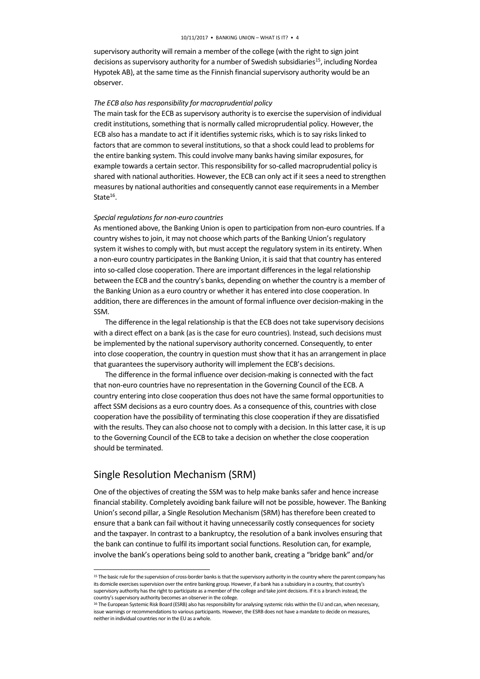supervisory authority will remain a member of the college (with the right to sign joint decisions as supervisory authority for a number of Swedish subsidiaries<sup>15</sup>, including Nordea Hypotek AB), at the same time as the Finnish financial supervisory authority would be an observer.

#### *The ECB also has responsibility for macroprudential policy*

The main task for the ECB as supervisory authority is to exercise the supervision of individual credit institutions, something that is normally called microprudential policy. However, the ECB also has a mandate to act if it identifies systemic risks, which is to say risks linked to factors that are common to several institutions, so that a shock could lead to problems for the entire banking system. This could involve many banks having similar exposures, for example towards a certain sector. This responsibility for so-called macroprudential policy is shared with national authorities. However, the ECB can only act if it sees a need to strengthen measures by national authorities and consequently cannot ease requirements in a Member State $^{16}$ .

#### *Special regulations for non-euro countries*

As mentioned above, the Banking Union is open to participation from non-euro countries. If a country wishes to join, it may not choose which parts of the Banking Union's regulatory system it wishes to comply with, but must accept the regulatory system in its entirety. When a non-euro country participates in the Banking Union, it is said that that country has entered into so-called close cooperation. There are important differences in the legal relationship between the ECB and the country's banks, depending on whether the country is a member of the Banking Union as a euro country or whether it has entered into close cooperation. In addition, there are differences in the amount of formal influence over decision-making in the SSM.

The difference in the legal relationship is that the ECB does not take supervisory decisions with a direct effect on a bank (as is the case for euro countries). Instead, such decisions must be implemented by the national supervisory authority concerned. Consequently, to enter into close cooperation, the country in question must show that it has an arrangement in place that guarantees the supervisory authority will implement the ECB's decisions.

The difference in the formal influence over decision-making is connected with the fact that non-euro countries have no representation in the Governing Council of the ECB. A country entering into close cooperation thus does not have the same formal opportunities to affect SSM decisions as a euro country does. As a consequence of this, countries with close cooperation have the possibility of terminating this close cooperation if they are dissatisfied with the results. They can also choose not to comply with a decision. In this latter case, it is up to the Governing Council of the ECB to take a decision on whether the close cooperation should be terminated.

### Single Resolution Mechanism (SRM)

**-**

One of the objectives of creating the SSM was to help make banks safer and hence increase financial stability. Completely avoiding bank failure will not be possible, however. The Banking Union's second pillar, a Single Resolution Mechanism (SRM) has therefore been created to ensure that a bank can fail without it having unnecessarily costly consequences for society and the taxpayer. In contrast to a bankruptcy, the resolution of a bank involves ensuring that the bank can continue to fulfil its important social functions. Resolution can, for example, involve the bank's operations being sold to another bank, creating a "bridge bank" and/or

<sup>&</sup>lt;sup>15</sup> The basic rule for the supervision of cross-border banks is that the supervisory authority in the country where the parent company has its domicile exercises supervision over the entire banking group. However, if a bank has a subsidiary in a country, that country's supervisory authority has the right to participate as a member of the college and take joint decisions. If it is a branch instead, the country's supervisory authority becomes an observer in the college.

<sup>&</sup>lt;sup>16</sup> The European Systemic Risk Board (ESRB) also has responsibility for analysing systemic risks within the EU and can, when necessary, issue warnings or recommendations to various participants. However, the ESRB does not have a mandate to decide on measures, neither in individual countries nor in the EU as a whole.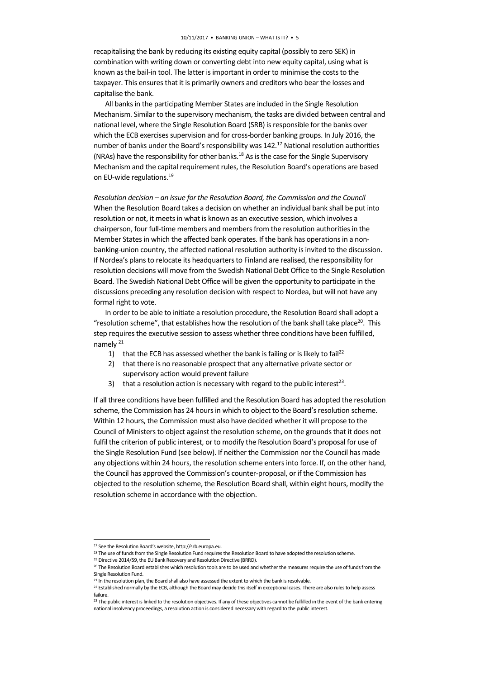recapitalising the bank by reducing its existing equity capital (possibly to zero SEK) in combination with writing down or converting debt into new equity capital, using what is known as the bail-in tool. The latter is important in order to minimise the costs to the taxpayer. This ensures that it is primarily owners and creditors who bear the losses and capitalise the bank.

All banks in the participating Member States are included in the Single Resolution Mechanism. Similar to the supervisory mechanism, the tasks are divided between central and national level, where the Single Resolution Board (SRB) is responsible for the banks over which the ECB exercises supervision and for cross-border banking groups. In July 2016, the number of banks under the Board's responsibility was 142.<sup>17</sup> National resolution authorities (NRAs) have the responsibility for other banks.<sup>18</sup> As is the case for the Single Supervisory Mechanism and the capital requirement rules, the Resolution Board's operations are based on EU-wide regulations.<sup>19</sup>

*Resolution decision – an issue for the Resolution Board, the Commission and the Council* When the Resolution Board takes a decision on whether an individual bank shall be put into resolution or not, it meets in what is known as an executive session, which involves a chairperson, four full-time members and members from the resolution authorities in the Member States in which the affected bank operates. If the bank has operations in a nonbanking-union country, the affected national resolution authority is invited to the discussion. If Nordea's plans to relocate its headquarters to Finland are realised, the responsibility for resolution decisions will move from the Swedish National Debt Office to the Single Resolution Board. The Swedish National Debt Office will be given the opportunity to participate in the discussions preceding any resolution decision with respect to Nordea, but will not have any formal right to vote.

In order to be able to initiate a resolution procedure, the Resolution Board shall adopt a "resolution scheme", that establishes how the resolution of the bank shall take place<sup>20</sup>. This step requires the executive session to assess whether three conditions have been fulfilled, namely <sup>21</sup>

- 1) that the ECB has assessed whether the bank is failing or is likely to fail<sup>22</sup>
- 2) that there is no reasonable prospect that any alternative private sector or supervisory action would prevent failure
- 3) that a resolution action is necessary with regard to the public interest<sup>23</sup>.

If all three conditions have been fulfilled and the Resolution Board has adopted the resolution scheme, the Commission has 24 hours in which to object to the Board's resolution scheme. Within 12 hours, the Commission must also have decided whether it will propose to the Council of Ministers to object against the resolution scheme, on the grounds that it does not fulfil the criterion of public interest, or to modify the Resolution Board's proposal for use of the Single Resolution Fund (see below). If neither the Commission nor the Council has made any objections within 24 hours, the resolution scheme enters into force. If, on the other hand, the Council has approved the Commission's counter-proposal, or if the Commission has objected to the resolution scheme, the Resolution Board shall, within eight hours, modify the resolution scheme in accordance with the objection.

1

<sup>17</sup> See the Resolution Board's website, http://srb.europa.eu.

<sup>&</sup>lt;sup>18</sup> The use of funds from the Single Resolution Fund requires the Resolution Board to have adopted the resolution scheme. <sup>19</sup> Directive 2014/59, the EU Bank Recovery and Resolution Directive (BRRD).

<sup>&</sup>lt;sup>20</sup> The Resolution Board establishes which resolution tools are to be used and whether the measures require the use of funds from the Single Resolution Fund.

<sup>&</sup>lt;sup>21</sup> In the resolution plan, the Board shall also have assessed the extent to which the bank is resolvable.

<sup>&</sup>lt;sup>22</sup> Established normally by the ECB, although the Board may decide this itself in exceptional cases. There are also rules to help assess failure.

<sup>&</sup>lt;sup>23</sup> The public interest is linked to the resolution objectives. If any of these objectives cannot be fulfilled in the event of the bank entering national insolvency proceedings, a resolution action is considered necessary with regard to the public interest.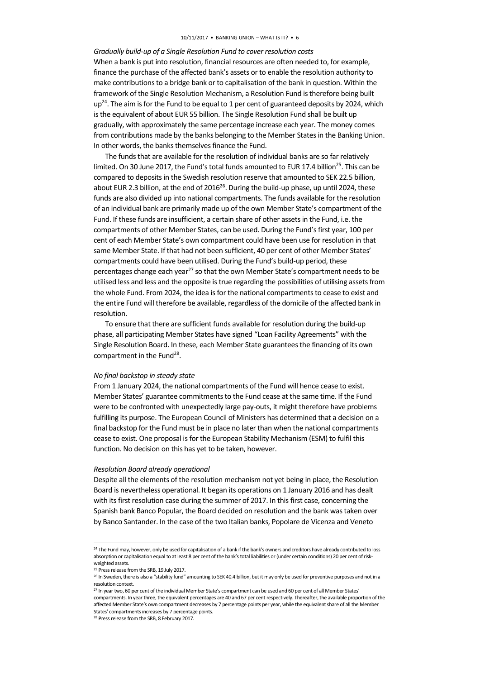#### *Gradually build-up of a Single Resolution Fund to cover resolution costs*

When a bank is put into resolution, financial resources are often needed to, for example, finance the purchase of the affected bank's assets or to enable the resolution authority to make contributions to a bridge bank or to capitalisation of the bank in question. Within the framework of the Single Resolution Mechanism, a Resolution Fund is therefore being built  $up<sup>24</sup>$ . The aim is for the Fund to be equal to 1 per cent of guaranteed deposits by 2024, which is the equivalent of about EUR 55 billion. The Single Resolution Fund shall be built up gradually, with approximately the same percentage increase each year. The money comes from contributions made by the banks belonging to the Member States in the Banking Union. In other words, the banks themselves finance the Fund.

The funds that are available for the resolution of individual banks are so far relatively limited. On 30 June 2017, the Fund's total funds amounted to EUR 17.4 billion<sup>25</sup>. This can be compared to deposits in the Swedish resolution reserve that amounted to SEK 22.5 billion, about EUR 2.3 billion, at the end of 2016<sup>26</sup>. During the build-up phase, up until 2024, these funds are also divided up into national compartments. The funds available for the resolution of an individual bank are primarily made up of the own Member State's compartment of the Fund. If these funds are insufficient, a certain share of other assets in the Fund, i.e. the compartments of other Member States, can be used. During the Fund's first year, 100 per cent of each Member State's own compartment could have been use for resolution in that same Member State. If that had not been sufficient, 40 per cent of other Member States' compartments could have been utilised. During the Fund's build-up period, these percentages change each year<sup>27</sup> so that the own Member State's compartment needs to be utilised less and less and the opposite is true regarding the possibilities of utilising assets from the whole Fund. From 2024, the idea is for the national compartments to cease to exist and the entire Fund will therefore be available, regardless of the domicile of the affected bank in resolution.

To ensure that there are sufficient funds available for resolution during the build-up phase, all participating Member States have signed "Loan Facility Agreements" with the Single Resolution Board. In these, each Member State guarantees the financing of its own compartment in the Fund<sup>28</sup>.

#### *No final backstop in steady state*

From 1 January 2024, the national compartments of the Fund will hence cease to exist. Member States' guarantee commitments to the Fund cease at the same time. If the Fund were to be confronted with unexpectedly large pay-outs, it might therefore have problems fulfilling its purpose. The European Council of Ministers has determined that a decision on a final backstop for the Fund must be in place no later than when the national compartments cease to exist. One proposal is for the European Stability Mechanism (ESM) to fulfil this function. No decision on this has yet to be taken, however.

#### *Resolution Board already operational*

Despite all the elements of the resolution mechanism not yet being in place, the Resolution Board is nevertheless operational. It began its operations on 1 January 2016 and has dealt with its first resolution case during the summer of 2017. In this first case, concerning the Spanish bank Banco Popular, the Board decided on resolution and the bank was taken over by Banco Santander. In the case of the two Italian banks, Popolare de Vicenza and Veneto

**-**

<sup>&</sup>lt;sup>24</sup> The Fund may, however, only be used for capitalisation of a bank if the bank's owners and creditors have already contributed to loss absorption or capitalisation equal to at least 8 per cent of the bank's total liabilities or (under certain conditions) 20 per cent of riskweighted assets.

<sup>&</sup>lt;sup>25</sup> Press release from the SRB, 19 July 2017.

<sup>&</sup>lt;sup>26</sup> In Sweden, there is also a "stability fund" amounting to SEK 40.4 billion, but it may only be used for preventive purposes and not in a resolution context.

<sup>&</sup>lt;sup>27</sup> In year two, 60 per cent of the individual Member State's compartment can be used and 60 per cent of all Member States'

compartments. In year three, the equivalent percentages are 40 and 67 per cent respectively. Thereafter, the available proportion of the affected Member State's own compartment decreases by 7 percentage points per year, while the equivalent share of all the Member States' compartments increases by 7 percentage points.

<sup>28</sup> Press release from the SRB, 8 February 2017.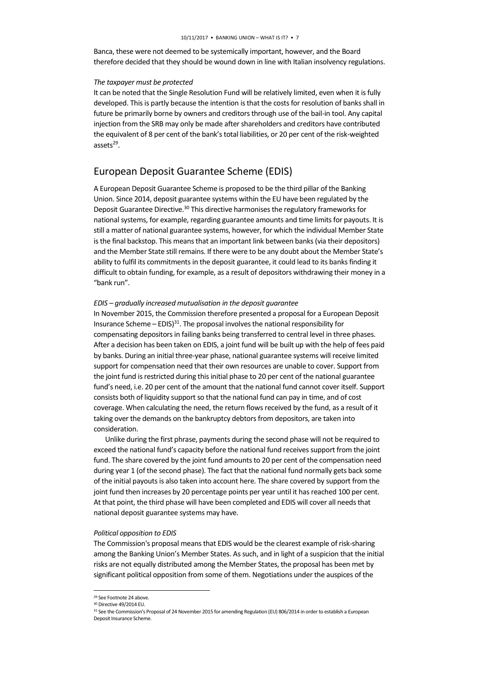Banca, these were not deemed to be systemically important, however, and the Board therefore decided that they should be wound down in line with Italian insolvency regulations.

#### *The taxpayer must be protected*

It can be noted that the Single Resolution Fund will be relatively limited, even when it is fully developed. This is partly because the intention is that the costs for resolution of banks shall in future be primarily borne by owners and creditors through use of the bail-in tool. Any capital injection from the SRB may only be made after shareholders and creditors have contributed the equivalent of 8 per cent of the bank's total liabilities, or 20 per cent of the risk-weighted assets<sup>29</sup>.

## European Deposit Guarantee Scheme (EDIS)

A European Deposit Guarantee Scheme is proposed to be the third pillar of the Banking Union. Since 2014, deposit guarantee systems within the EU have been regulated by the Deposit Guarantee Directive.<sup>30</sup> This directive harmonises the regulatory frameworks for national systems, for example, regarding guarantee amounts and time limits for payouts. It is still a matter of national guarantee systems, however, for which the individual Member State is the final backstop. This means that an important link between banks (via their depositors) and the Member State still remains. If there were to be any doubt about the Member State's ability to fulfil its commitments in the deposit guarantee, it could lead to its banks finding it difficult to obtain funding, for example, as a result of depositors withdrawing their money in a "bank run".

#### *EDIS – gradually increased mutualisation in the deposit guarantee*

In November 2015, the Commission therefore presented a proposal for a European Deposit Insurance Scheme –  $EDIS$ <sup>31</sup>. The proposal involves the national responsibility for compensating depositors in failing banks being transferred to central level in three phases. After a decision has been taken on EDIS, a joint fund will be built up with the help of fees paid by banks. During an initial three-year phase, national guarantee systems will receive limited support for compensation need that their own resources are unable to cover. Support from the joint fund is restricted during this initial phase to 20 per cent of the national guarantee fund's need, i.e. 20 per cent of the amount that the national fund cannot cover itself. Support consists both of liquidity support so that the national fund can pay in time, and of cost coverage. When calculating the need, the return flows received by the fund, as a result of it taking over the demands on the bankruptcy debtors from depositors, are taken into consideration.

Unlike during the first phrase, payments during the second phase will not be required to exceed the national fund's capacity before the national fund receives support from the joint fund. The share covered by the joint fund amounts to 20 per cent of the compensation need during year 1 (of the second phase). The fact that the national fund normally gets back some of the initial payouts is also taken into account here. The share covered by support from the joint fund then increases by 20 percentage points per year until it has reached 100 per cent. At that point, the third phase will have been completed and EDIS will cover all needs that national deposit guarantee systems may have.

#### *Political opposition to EDIS*

The Commission's proposal means that EDIS would be the clearest example of risk-sharing among the Banking Union's Member States. As such, and in light of a suspicion that the initial risks are not equally distributed among the Member States, the proposal has been met by significant political opposition from some of them. Negotiations under the auspices of the

1

<sup>&</sup>lt;sup>29</sup> See Footnote 24 above.

<sup>30</sup> Directive 49/2014 EU.

<sup>&</sup>lt;sup>31</sup> See the Commission's Proposal of 24 November 2015 for amending Regulation (EU) 806/2014 in order to establish a European Deposit Insurance Scheme.